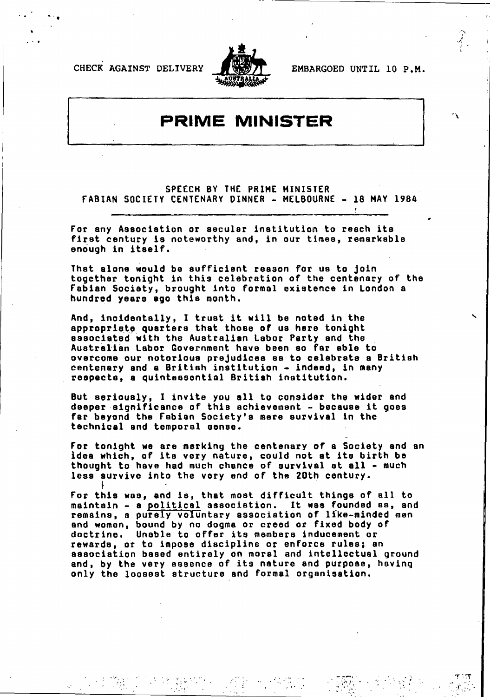**CHECK** AGAINST DELIVERY EMBARGOED UNTIL **10** P.M.

**I I a**



 $\cdot$ 

## PRIME MINISTER

**SPEECH** BY THE PRIME MINISTER **FABIAN** SOCIETY **CENTENARY** DINNER **MELBOURNE 18** MAY 1984

For any Association or secular institution to reach its first century **is** noteworthy and, in our times, remarkable enough in itself.

That alone would be sufficient reason for us to join together tonight in this celebration of the centenary of the Fabian Society, brought into formal existence in London a hundred years **ago** this month.

And, incidentally, I trust it will be noted in the appropriate quarters that those of us here tonight associated with the Australian Labor Party and the Australian Labor Government have been so far able to overcome our notorious prejudices as to celebrate a British centenary and a British institution - indeed, in many respects, a quintessential British institution.

But seriously, **I** invite you **all** to consider the wider and deeper significance of this achievement - because it goes far beyond the Fabian Society's more survival In the technical and temporal sense.

For tonight we are marking the centenary of a Society and an idea which, **of** its very nature, could not at its birth **be** thought to have had much chance of survival at all - much less aurvive into the very and of the 20th century.

For this was, and is, that most difficult things of all to maintain a political association. It was founded as, and remains, a purely voluntary association of like-minded men and women, bound **by** no dogma or creed or fixed body of doctrine. Unable to offer its members inducement or rewards, or to impose discipline or enforce rules; an association based entirely on morel and intellectual ground and, **by** the very essence **of** its nature and purpose, having only the loosest structure and formal organisation.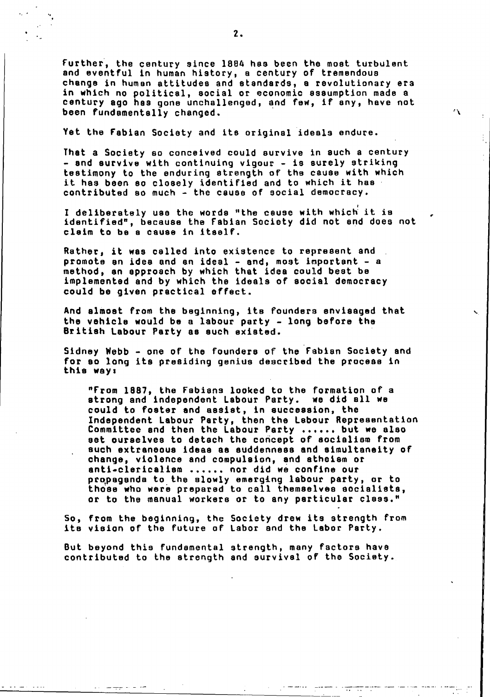Further, the century since 1884 has been the moat turbulent and eventful in human history, a century of tremendous change in human attitudes and standards, **a** revolutionary era in which no political, social or economic assumption made a century ago has gone unchallenged, and few, if any, have not been fundamentally changed.

 $\Delta$ 

ŧ,

Yet the Fabian Society and its original ideals endure.

That a Society so conceived could survive in such a century - and survive with continuing vigour - is surely striking testimony to the enduring strength of the cause with which it has been so closely identified and to which it has contributed so much -the cause of social democracy.

**I** deliberately use the words "the cause with which it is identified", because the Fabian Society did not **and** does not claim to be a cause in Itself.

Rather, it was called into existence to represent and promote an idea and an ideal - and, most important - a method, an approach **by** which that idea could beat **be** implemented and **by** which the ideals of social democracy could be given practical effect.

And almost from the beginning, its founders envisaged that the vehicle would be a labour party - long before the British Labour Party as such existed.

Sidney Webb - one of the founders of the Fabian Society and for so long its presiding genius described the process in this wayi

"From **1887,** the Fabians looked to the formation of a strong and independent Labour Party. we did **all** we could to foster and assist, in succession, the Independent Labour Party, then the Labour Representation Committee and then the Labour Party ...... but we also eat ourselves to detach the concept of socialism from such extraneous ideas as suddenness and simultaneity of change, violence and compulsion, and atheism or anti-clericalism ...... nor did we confine our propaganda to the slowly emerging labour party, or to those who were prepared to call themselves socialists, or to the manual workers or to any particular class."

**So,** from the beginning, the Society drew its strength from its vision of the future of Labor and the Labor Party.

But beyond this fundamental strength, many factors have contributed to the strength and survival of the Society.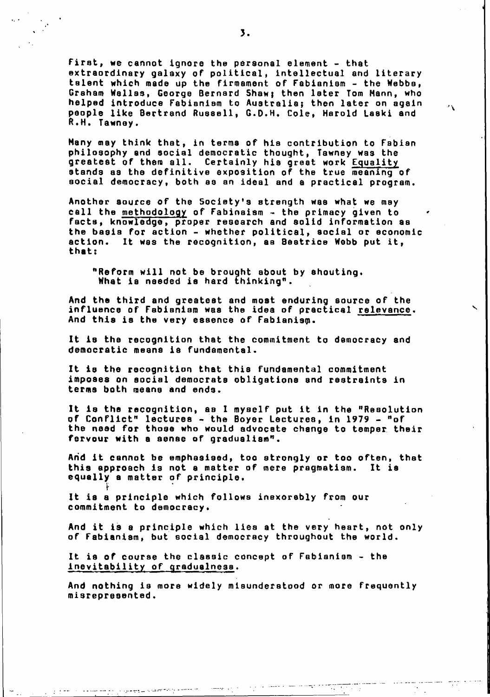First, we cannot ignore the personal element - that extraordinary galaxy of political, intellectual and literary talent which made up the firmament of Fabianism the **Webba,** Graham Welles, George Bernard Shaw; then later Tom Mann, who **helped** introduce Fabianiam to Australia; then later on again people like Bertrand Ruesell, **G.D.H.** Cole\$ Harold Laski and R.H. Tawnoy.

 $\mathcal{L}^{\mathcal{L}}$ 

 $\frac{1}{2}$  ,  $\frac{1}{2}$ 

 $\sim 100$ 

Many may think that, in terms of hia contribution to Fabian philosophy and social democratic thought, Tawney was the greatest of them all. Certainly his great work Equality stands as the definitive exposition of the true meaning of social democracy, both as an ideal and **a** practical program.

Another source of the Society's strength was what we may call the methodology of Fabinaism - the primacy given to facts, knowledge, proper research and solid information as the basis for action - whether political, social or economic action. It was the recognition, as Beatrice **Webb** put it, that:

"Reform will not **be** brought about **by** shouting. What is needed is hard thinking"..

And the third and greatest and most enduring source of the influence of Fabianism was the idea of practical relevance. And this is the very essence of Fabianism.

It **is** the recognition that the commitment to democracy and democratic means is fundamental.

It is the recognition that this fundamental commitment imposes on social democrats obligations and restraints in terms both means and ends.

It is the recognition, **as I** myself put it in the "Resolution of Conflict" lectures - the Boyer Lectures, in 1979 - "of the need for those who would advocate change to temper. their fervour with **a** sense of gradualism".

Arid it cannot **be** emphasised, too strongly or too often, that this approach is not **a** matter of mere pragmatism. It is equally **a** matter **of** principle.

It is **a** principle which follows inexorably from our commitment to democracy.

And it **is a** principle which lies at the very heart, not only of Fabianism, but social democracy throughout the world.

It is of course the classic concept of Fabianiam - the inevitability of gradualness.

والردا المحجب

المستحقق والمتحصصان

And nothing is more widely misunderstood or more frequently misrepresented.

**3.**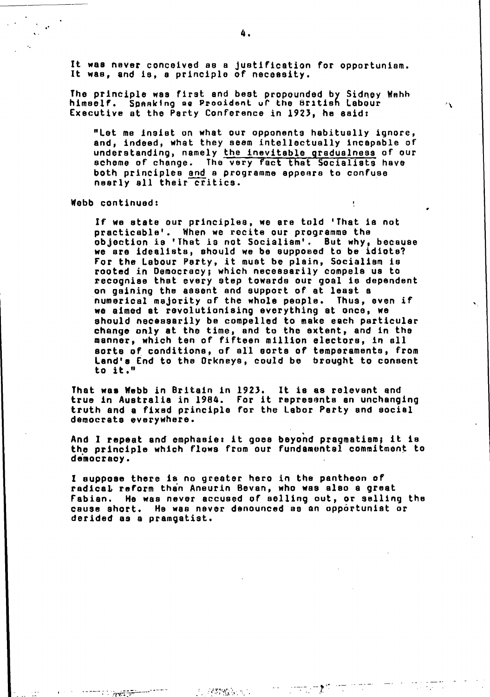It was never conceived **as** B Justification for opportunism. It was, and is, **a** principle **of** necessity.

The principle was first and beat propounded **by** Sidney Wnhh himself. SPAalcing **ae** Pzrooident **ul'** the British Labour Executive at the Party Conference in **1923,** he said:

"Let me **Insist** on what our opponents habitually ignore, and, indeed, what they seem intellectually incapable of understanding, namely the inevitable gradualness of our scheme of change. The very fact that Socialists have both principles and a programme appears to confuse nearly all their critics.

 $\Delta$ 

Webb continued:

र अक्ट*रि*ल

**If** we state our principles, we are told 'That is not practicable'. When we recite our programme the objection is 'That is not Socialism'. But why, because we are idealists, should we **be** supposed to be idiote? For the Labour Party, it must be plain, Socialism is rooted in Democracy; which necessarily compels us to recognise that every step towards our goal is dependent on gaining the assent and support of at least **a** numerical majority of the whole people. Thus, even if we aimed at revolutionising everything at once, we should necessarily **be** compelled to make each particular change only at the time, and to the extent, and in the manner, which ten of fifteen million electors, in **all** sorts **of** \*conditions, of all aorts of temperaments, from Lend's End to the Orkneys, could be brought to consent to it."

That was **Webb** in Britain In **1923.** It is as relevant and true in Australia in 1984. For it represents an unchanging truth and **a** fixed principle for the Labor Party and social democrats everywhere.

And.I repeat and'emphasis it goes beyond pragmatism; it is the principle which flows from our fundamental commitment to democracy.

**I** suppose there is no greater hero in the pantheon of radical reform than Aneurin Bevan, who was also a great Fabian. He was never accused of selling out, or selling the cause short. He was never denounced as an opportunist or derided **as** a pramgatist.

 $\leftarrow$   $\leftarrow$   $\leftarrow$   $\mathcal{L}$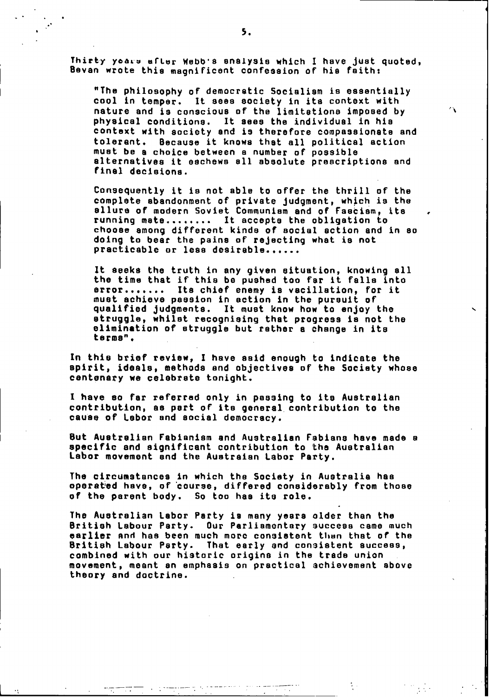Thirty years after Webb's analysis which I have just quoted, Bevan wrote this magnificent confession of his faith:

"The philosophy of democratic Socialism is essentially cool in temper. it sees society in its context with nature and is conscious of the limitations imposed **by** physical conditions. It **sees** the individual in his context with society and is therefore compassionate and tolerant. Because it knows that all political action must **be a** choice between a number **of** possible alternatives it eschews **all** absolute prescriptions and final decisions.

ΛY.

Consequently it is not able to offer the thrill of the complete abandonment of private judgment, which is the allure of modern Soviet Communism and of Faacism, its running mate........ It accepts the obligation to choose among different kinds of social action and in **so** doing to bear the pains **or** rejecting what is not practicable or less desirable

It seeks the truth in any given situation, knowing **all** the time that if this **be** pushed too far it falls into error....... Its chief enemy is vacillation, for it must achieve passion in action in the pursuit of qualified judgments. It must know how to enjoy the struggle, whilst recognising that progress is not the elimination of struggle but rather **a** change in its terms".

In this brief review, I have said enough to indicate the spirit, ideals, methods and objectives of the Society whose centenary we celebrate tonight.

**I** have so far referred only in passing to its Australian contribution, **as** part of its general contribution to the cause of Labor and social democracy.

But Australian Fabianism and Australian Fabians have made **a** specific and significant contribution to the Australian Labor movement and the Austraian Labor Party.

The circumstances in which the Society in Australia has operatled have, of'course, differed considerably from those of the parent body. So too has its role.

The Australian Labor Party is many years older than the British Labour Party. Our Parliamentary success came much earlier and has been much more consistent than that of the British Labour Party. That early and consistent success, combined with our historic origins in the trade union. movement, meant an emphasis on practical achievement above theory and doctrine.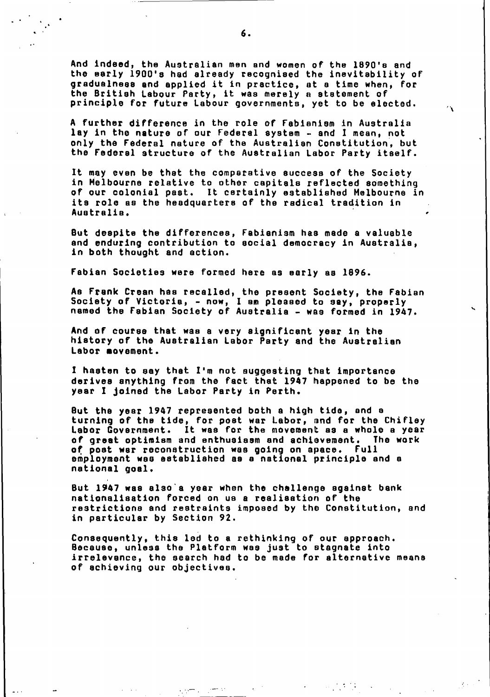And indeed, the Australian men and women of the **1890's** and the early **1900's had** already recognised the inevitability of gradualness and applied it in practice, at a time when, for the British Labour Party, it was merely a statement of principle for future Labour governments, yet to be elected.

 $\mathbf{r}$ 

**A** further difference in the role of Fabianism in Australia lay in the nature of aur Federal system and **I** mean, not only the Federal nature of the Australian Constitution, but the Federal structure of the Australian Labor Party itself.

It may even be that the comparative success of the Society in Melbourne relative to other capitals reflected something of our colonial past. It certainly established Melbourne in its role as the headquarters **of** the radical tradition in Australia.

But despite the differences, Fabianism has made a valuable and enduring contribution to social democracy in Australia, in both thought and action.

Fabian Societies were formed here as early as **1896.**

As Frank Crean has recalled, the present Society, the Fabian Society of Victoria, now, **I** am pleased to **say,** properly named the Fabian Society **of** Australia was formed in 1947.

And of course that was a very significant year in the history of the Australian Labor Party and the Australian Labor **movement.**

**I** hasten to **say** that I'm not suggesting that Importance derives anything from the fact that 1947 happened to be the year **I** joined the Labor Party in Perth.

But the year 1947 represented both a high tide, and **a** turning of the tide, for post war Labor, and for the **Chifley** Labor Government. It was for the movement as a whole a year **of** great optimism and enthusiasm and achievement. The work **of** post war reconstruction was going on apace. Full employment was established as a national principle and **a** national goal.

But 1947 was also's year when the challenge against bank nationslisation forced on us a realisation of' the restrictions and restraints imposed **by** the Constitution, and in particular **by** Section **92.**

Consequently, this **led** to a rethinking of our approach. Because, unless the Platform was just to stagnate into irrelevance, the search **had** to be made for alternative means of achieving our objectives.

 $\frac{1}{2} \frac{1}{2} \frac{1}{2} \frac{1}{2} \frac{1}{2} \frac{1}{2} \frac{1}{2}$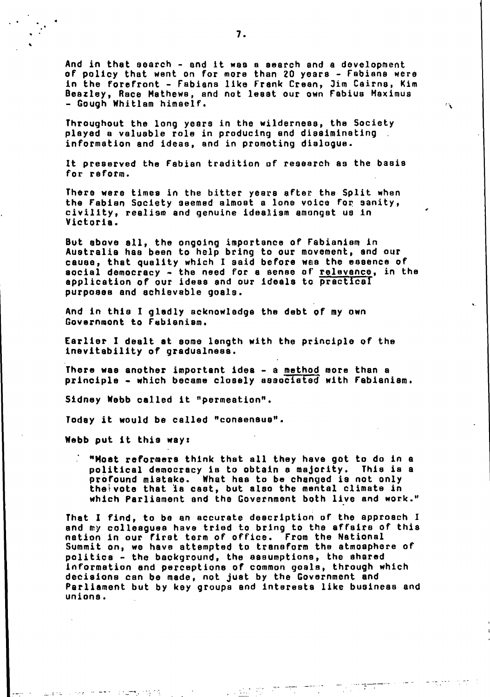And in that search - and it was a search and a development of policy that went on for more than 20 years - Fabians were in the forefront Fabians **like** Frank Crean, Jim Cairns, Kim Beazisy, Race Mathews, and not least our own Fabius Maximus - Gough Whitlam himself.

 $\mathcal{L}_{\mathbf{A}}$ 

Throughout the long years in the wilderness, the Society played a valuable role in producing and dissiminating information and ideas, and in promoting dialogue.

It preserved the Fabian tradition **of** research as the basis for reform.

There were times in the bitter years after the Split when the Fabian Society seemed almost a lone voice for sanity, civility, realism and genuine idealism amongst us in Victoria.

But above **all,** the ongoing importance of Fabianiam, in Australia has been to help bring to our movement, and our cause, that quality which **I** said before was the essence of social democracy the need for **a** sense of relevance, in the application of our ideas and our Ideals to practical purposes and achievable goals.

And in this **I gladly** acknowledge the debt **of** my own Govsrnmont to Fabisnism.

Earlier **I** dealt at some length with the principle of the Inevitability of gradualness.

There was another important idea - a method more than a principle - which became closely associated with Fabianiam.

Sidney **Webb** called It "permeation".

Today it would **be** called "consensus".

**Webb** put It this wayz

 $\mathcal{L}_{\text{max}}$ 

كالمنابذ

**I** 

"Moat reformers think that all they have got to do in a political democracy is to obtain **a** majority. This is a profound mistake. What has to **be** changed is not only thei-vote that **Is** cast, but also the mental climate in which Parliament and the Government both live and work."

That **I** find, to **be** an accurate description of the approach I and **my** colleagues have tried to bring to the affairs of this nation in our first term of office. From the National Summit on, we have attempted to transform the atmosphere of politics the background, the assumptions, the shared information and perceptions of common goals, through which decisions can **be** made, not just **by** the Government and Parliament but **by key** groups and Interests like business and unions.

**SEP 37** 

 $\overline{\mathcal{L}_{\mathcal{A}}^{\mathcal{A}}}$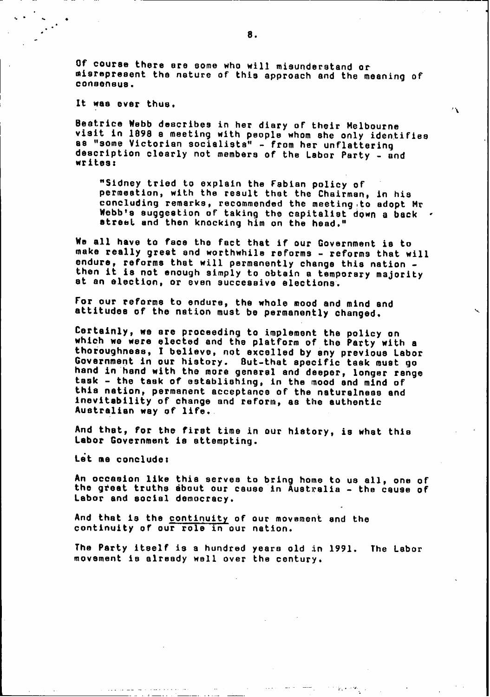**Of** course there are some who will misunderstand or misrepresent the nature of this approach and the meaning of' consensus.

It was ever thus.

Beatrice **Webb** describes in her diary of their Melbourne visit in **1898 a** meeting with people whom she only identifies **as** "some Victorian socialists" from her unflattering description clearly not members of the Labor Party -and writes:

"Sidney tried to explain the Fabian policy **of** permeation, with the result that the Chairman, in his concluding remarks, recommended the meeting to adopt Mr Webb's suggestion of taking the capitalist down a back street and then knocking him on the head."

 $\Delta$ 

We all have to face the fact that if our Government is to make really great and worthwhile reforms - reforms that will endure, reforms that will permanently change this nation then it is not enough simply to obtain **a** temporary majority at an election, or even successive elections.

For our reforms to endure, the whole mood and mind and attitudes of the nation must **be** permanently changed.

Certainly, we are proceeding to implement the policy an which we were elected and the platform of the Party with **a** thoroughness, **I** believe, not excelled **by** any previous Labor Government in our history. But-that specific task must go hand in'hand with the more general and deeper, longer range task - the task of establishing, in the mood and mind of this nation, permanent acceptance of the naturalness and Inevitability of change and reform, as the authentic Australian way of life..

And that, for the first time in our history, is what this Labor Government is attempting.

Let **me** conclude:

An occasion like this serves to bring home to us all, one of the great truths about our cause in Australia - the cause of Labor and social democracy.

And that is the continuity of our movement and the continuity of our role in our nation.

The Party itself is a hundred years old in 1991. The Labor movement is already wall over the century.

I.'

8.